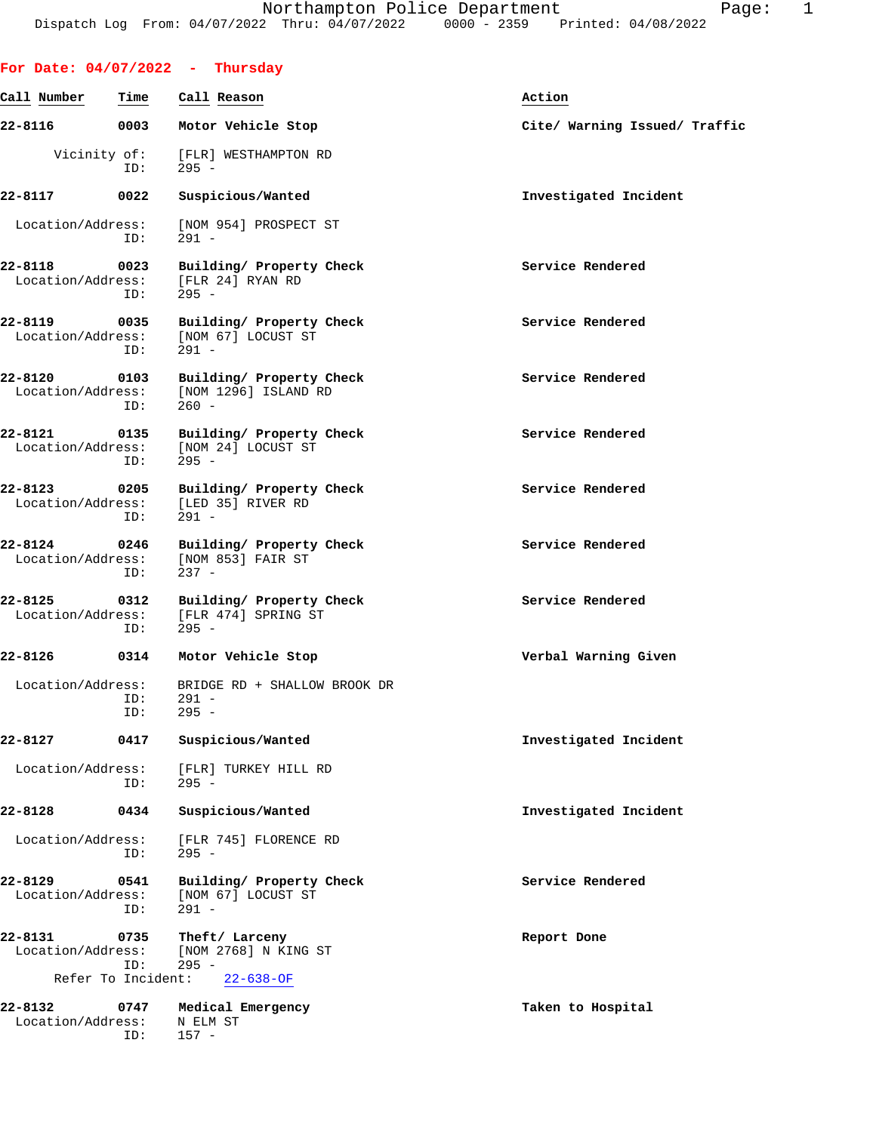|                                  |                    | For Date: $04/07/2022 - Thursday$                           |                               |
|----------------------------------|--------------------|-------------------------------------------------------------|-------------------------------|
| Call Number                      | Time               | Call Reason                                                 | Action                        |
| 22-8116                          | 0003               | Motor Vehicle Stop                                          | Cite/ Warning Issued/ Traffic |
| Vicinity of:                     | ID:                | [FLR] WESTHAMPTON RD<br>$295 -$                             |                               |
| 22-8117                          | 0022               | Suspicious/Wanted                                           | Investigated Incident         |
| Location/Address:                | ID:                | [NOM 954] PROSPECT ST<br>$291 -$                            |                               |
| 22-8118<br>Location/Address:     | 0023<br>ID:        | Building/ Property Check<br>[FLR 24] RYAN RD<br>$295 -$     | Service Rendered              |
| 22-8119<br>Location/Address:     | 0035<br>ID:        | Building/ Property Check<br>[NOM 67] LOCUST ST<br>$291 -$   | Service Rendered              |
| 22-8120<br>Location/Address:     | 0103<br>ID:        | Building/ Property Check<br>[NOM 1296] ISLAND RD<br>$260 -$ | Service Rendered              |
| 22-8121<br>Location/Address:     | 0135<br>ID:        | Building/ Property Check<br>[NOM 24] LOCUST ST<br>$295 -$   | Service Rendered              |
| $22 - 8123$<br>Location/Address: | 0205<br>ID:        | Building/ Property Check<br>[LED 35] RIVER RD<br>$291 -$    | Service Rendered              |
| 22-8124<br>Location/Address:     | 0246<br>ID:        | Building/ Property Check<br>[NOM 853] FAIR ST<br>$237 -$    | Service Rendered              |
| 22-8125<br>Location/Address:     | 0312<br>ID:        | Building/ Property Check<br>[FLR 474] SPRING ST<br>$295 -$  | Service Rendered              |
| 22-8126                          | 0314               | Motor Vehicle Stop                                          | Verbal Warning Given          |
| Location/Address:                | ID:<br>ID:         | BRIDGE RD + SHALLOW BROOK DR<br>291 -<br>$295 -$            |                               |
| 22-8127                          | 0417               | Suspicious/Wanted                                           | Investigated Incident         |
| Location/Address:                | ID:                | [FLR] TURKEY HILL RD<br>$295 -$                             |                               |
| 22-8128                          | 0434               | Suspicious/Wanted                                           | Investigated Incident         |
| Location/Address:                | ID:                | [FLR 745] FLORENCE RD<br>$295 -$                            |                               |
| 22-8129<br>Location/Address:     | 0541<br>ID:        | Building/ Property Check<br>[NOM 67] LOCUST ST<br>$291 -$   | Service Rendered              |
| 22-8131<br>Location/Address:     | 0735<br>ID:        | Theft/ Larceny<br>[NOM 2768] N KING ST<br>$295 -$           | Report Done                   |
|                                  | Refer To Incident: | $22 - 638 - OF$                                             |                               |
| 22-8132<br>Location/Address:     | 0747<br>ID:        | Medical Emergency<br>N ELM ST<br>$157 -$                    | Taken to Hospital             |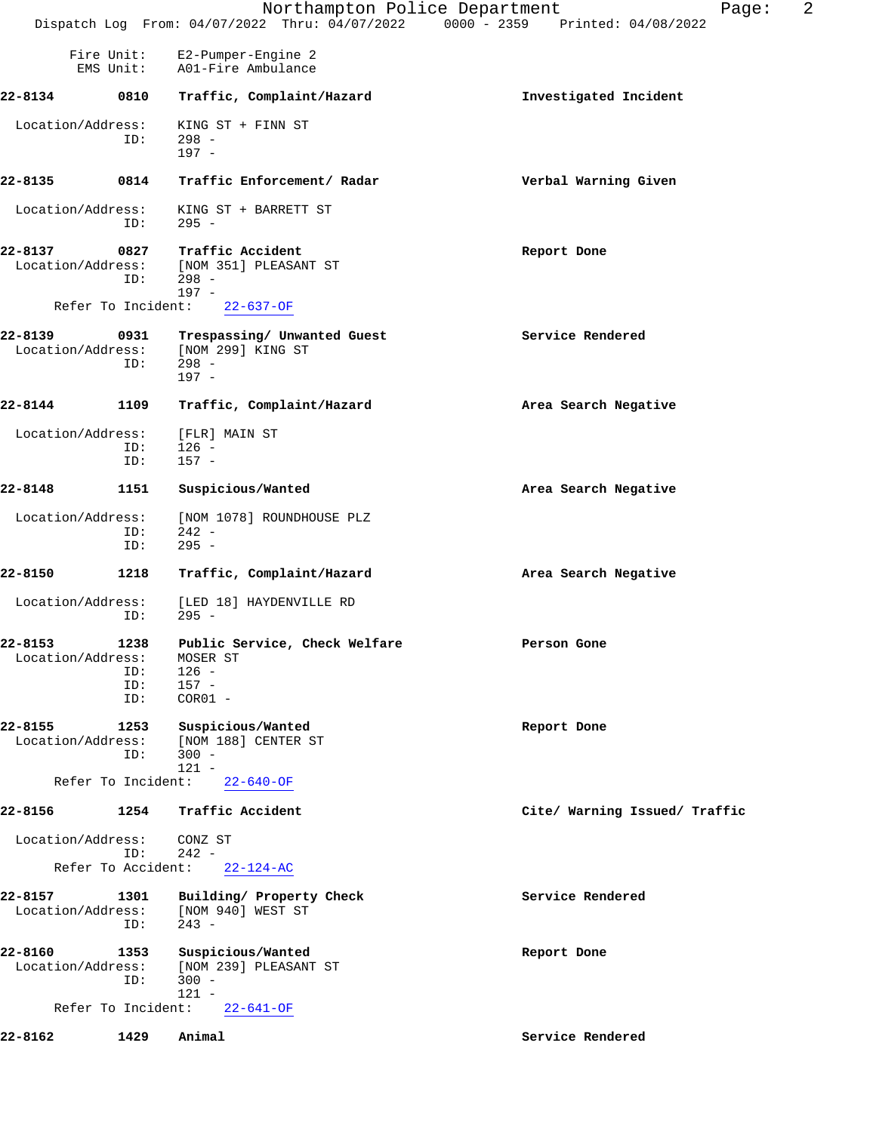|                              |                           | Northampton Police Department<br>Dispatch Log From: 04/07/2022 Thru: 04/07/2022 0000 - 2359 Printed: 04/08/2022 | 2<br>Page:                    |
|------------------------------|---------------------------|-----------------------------------------------------------------------------------------------------------------|-------------------------------|
|                              | Fire Unit:<br>EMS Unit:   | E2-Pumper-Engine 2<br>A01-Fire Ambulance                                                                        |                               |
| 22-8134                      | 0810                      | Traffic, Complaint/Hazard                                                                                       | Investigated Incident         |
| Location/Address:            | ID:                       | KING ST + FINN ST<br>$298 -$<br>$197 -$                                                                         |                               |
| 22-8135                      | 0814                      | Traffic Enforcement/ Radar                                                                                      | Verbal Warning Given          |
| Location/Address:            | ID:                       | KING ST + BARRETT ST<br>$295 -$                                                                                 |                               |
| 22-8137<br>Location/Address: | 0827<br>ID:               | Traffic Accident<br>[NOM 351] PLEASANT ST<br>$298 -$                                                            | Report Done                   |
|                              | Refer To Incident:        | $197 -$<br>$22 - 637 - OF$                                                                                      |                               |
| 22-8139<br>Location/Address: | 0931<br>ID:               | Trespassing/ Unwanted Guest<br>[NOM 299] KING ST<br>$298 -$<br>$197 -$                                          | Service Rendered              |
| 22-8144                      | 1109                      | Traffic, Complaint/Hazard                                                                                       | Area Search Negative          |
| Location/Address:            | ID:<br>ID:                | [FLR] MAIN ST<br>$126 -$<br>$157 -$                                                                             |                               |
| 22-8148                      | 1151                      | Suspicious/Wanted                                                                                               | Area Search Negative          |
| Location/Address:            | ID:<br>ID:                | [NOM 1078] ROUNDHOUSE PLZ<br>$242 -$<br>$295 -$                                                                 |                               |
| 22-8150                      | 1218                      | Traffic, Complaint/Hazard                                                                                       | Area Search Negative          |
| Location/Address:            | ID:                       | [LED 18] HAYDENVILLE RD<br>$295 -$                                                                              |                               |
| 22-8153<br>Location/Address: | ID:<br>ID:<br>ID:         | 1238 Public Service, Check Welfare<br>MOSER ST<br>$126 -$<br>$157 -$<br>$COR01 -$                               | Person Gone                   |
| 22-8155<br>Location/Address: | 1253<br>ID:               | Suspicious/Wanted<br>[NOM 188] CENTER ST<br>$300 -$<br>$121 -$                                                  | Report Done                   |
|                              | Refer To Incident:        | $22 - 640 - OF$                                                                                                 |                               |
| 22-8156                      | 1254                      | Traffic Accident                                                                                                | Cite/ Warning Issued/ Traffic |
| Location/Address:            | ID:<br>Refer To Accident: | CONZ ST<br>$242 -$<br>$22 - 124 - AC$                                                                           |                               |
| 22-8157<br>Location/Address: | 1301<br>ID:               | Building/ Property Check<br>[NOM 940] WEST ST<br>$243 -$                                                        | Service Rendered              |
| 22-8160<br>Location/Address: | 1353<br>ID:               | Suspicious/Wanted<br>[NOM 239] PLEASANT ST<br>$300 -$<br>$121 -$                                                | Report Done                   |
|                              | Refer To Incident:        | $22 - 641 - OF$                                                                                                 |                               |
| 22-8162                      | 1429                      | Animal                                                                                                          | Service Rendered              |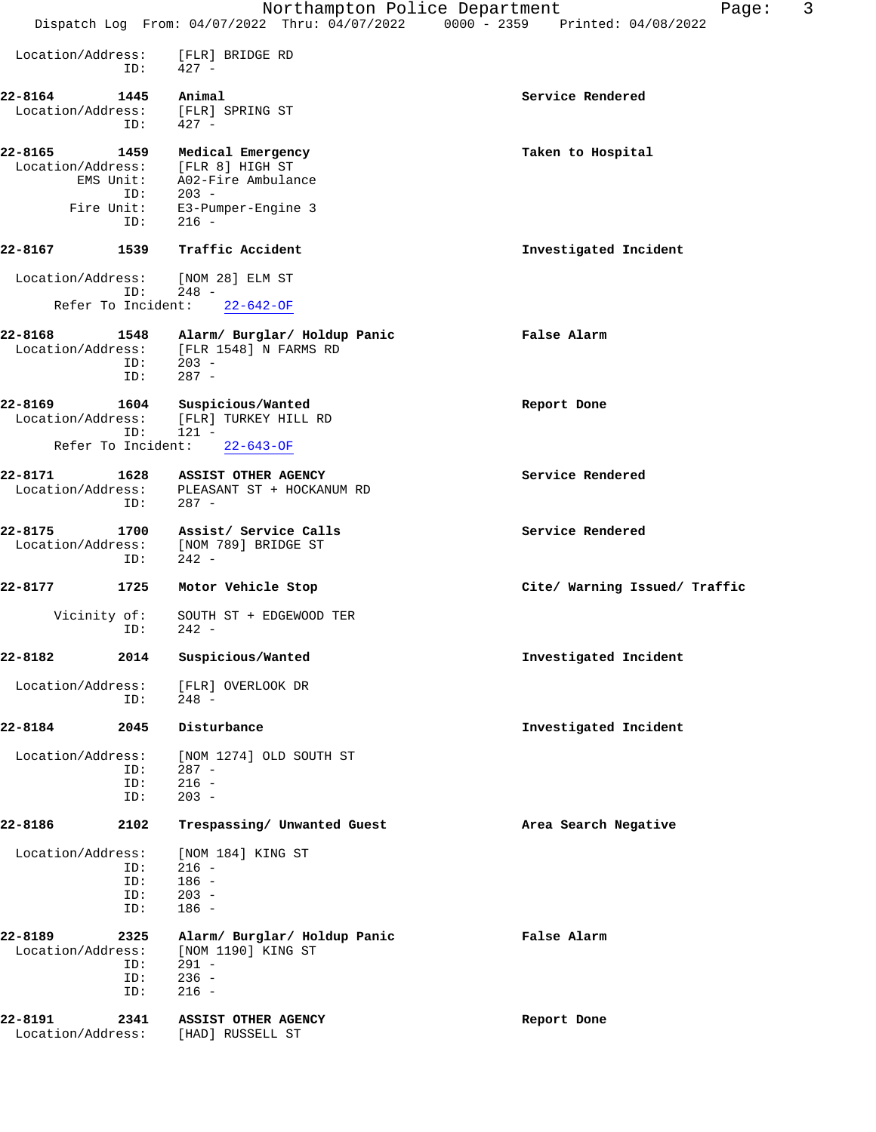|                              |                   | Northampton Police Department                                                      | 3<br>Page:<br>Dispatch Log From: 04/07/2022 Thru: 04/07/2022 0000 - 2359 Printed: 04/08/2022 |
|------------------------------|-------------------|------------------------------------------------------------------------------------|----------------------------------------------------------------------------------------------|
|                              |                   |                                                                                    |                                                                                              |
| Location/Address:            | ID:               | [FLR] BRIDGE RD<br>427 -                                                           |                                                                                              |
| 22-8164                      | 1445              | Animal                                                                             | Service Rendered                                                                             |
| Location/Address:            | ID:               | [FLR] SPRING ST<br>$427 -$                                                         |                                                                                              |
| 22-8165                      | 1459              | Medical Emergency                                                                  | Taken to Hospital                                                                            |
| Location/Address:            | EMS Unit:<br>ID:  | [FLR 8] HIGH ST<br>A02-Fire Ambulance<br>$203 -$                                   |                                                                                              |
| Fire Unit:                   | ID:               | E3-Pumper-Engine 3<br>$216 -$                                                      |                                                                                              |
| 22-8167                      | 1539              | Traffic Accident                                                                   | Investigated Incident                                                                        |
| Location/Address:            | ID:               | [NOM 28] ELM ST<br>$248 -$                                                         |                                                                                              |
| Refer To Incident:           |                   | $22 - 642 - OF$                                                                    |                                                                                              |
| 22-8168                      | 1548<br>ID:       | Alarm/ Burglar/ Holdup Panic<br>Location/Address: [FLR 1548] N FARMS RD<br>$203 -$ | False Alarm                                                                                  |
|                              | ID:               | $287 -$                                                                            |                                                                                              |
| 22-8169<br>Location/Address: | 1604              | Suspicious/Wanted<br>[FLR] TURKEY HILL RD                                          | Report Done                                                                                  |
| Refer To Incident:           | ID:               | $121 -$<br>$22 - 643 - OF$                                                         |                                                                                              |
| 22-8171                      | 1628              | ASSIST OTHER AGENCY                                                                | Service Rendered                                                                             |
| Location/Address:            | ID:               | PLEASANT ST + HOCKANUM RD<br>$287 -$                                               |                                                                                              |
| 22-8175<br>Location/Address: | 1700<br>ID:       | Assist/ Service Calls<br>[NOM 789] BRIDGE ST<br>$242 -$                            | Service Rendered                                                                             |
| 22-8177                      | 1725              | Motor Vehicle Stop                                                                 | Cite/ Warning Issued/ Traffic                                                                |
| Vicinity of:                 | ID:               | SOUTH ST + EDGEWOOD TER<br>$242 -$                                                 |                                                                                              |
| 22-8182                      | 2014              | Suspicious/Wanted                                                                  | Investigated Incident                                                                        |
| Location/Address:            | ID:               | [FLR] OVERLOOK DR<br>$248 -$                                                       |                                                                                              |
| 22-8184                      | 2045              | Disturbance                                                                        | Investigated Incident                                                                        |
| Location/Address:            |                   | [NOM 1274] OLD SOUTH ST                                                            |                                                                                              |
|                              | ID:<br>ID:<br>ID: | $287 -$<br>$216 -$<br>$203 -$                                                      |                                                                                              |
| 22-8186                      | 2102              | Trespassing/ Unwanted Guest                                                        | Area Search Negative                                                                         |
| Location/Address:            |                   | [NOM 184] KING ST                                                                  |                                                                                              |
|                              | ID:<br>ID:        | $216 -$<br>$186 -$                                                                 |                                                                                              |
|                              | ID:<br>ID:        | $203 -$<br>$186 -$                                                                 |                                                                                              |
| 22-8189                      | 2325              |                                                                                    | False Alarm                                                                                  |
| Location/Address:            |                   | Alarm/ Burglar/ Holdup Panic<br>[NOM 1190] KING ST                                 |                                                                                              |
|                              | ID:               | $291 -$                                                                            |                                                                                              |
|                              | ID:<br>ID:        | $236 -$<br>$216 -$                                                                 |                                                                                              |
| 22-8191                      | 2341              | ASSIST OTHER AGENCY                                                                | Report Done                                                                                  |
| Location/Address:            |                   | [HAD] RUSSELL ST                                                                   |                                                                                              |